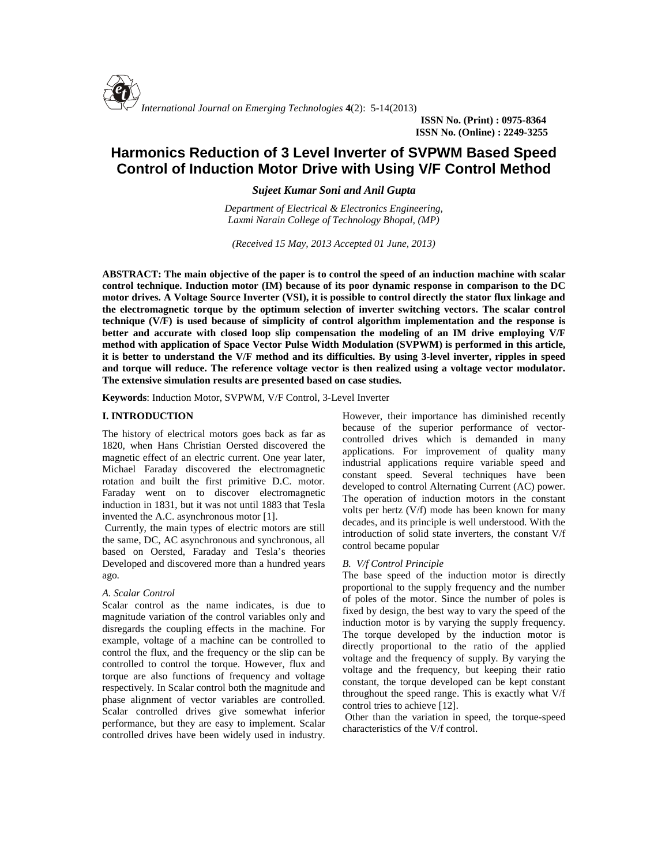

**ISSN No. (Print) : 0975-8364 ISSN No. (Online) : 2249-3255**

# **Harmonics Reduction of 3 Level Inverter of SVPWM Based Speed Control of Induction Motor Drive with Using V/F Control Method**

*Sujeet Kumar Soni and Anil Gupta*

*Department of Electrical & Electronics Engineering, Laxmi Narain College of Technology Bhopal, (MP)*

*(Received 15 May, 2013 Accepted 01 June, 2013)*

**ABSTRACT: The main objective of the paper is to control the speed of an induction machine with scalar control technique. Induction motor (IM) because of its poor dynamic response in comparison to the DC motor drives. A Voltage Source Inverter (VSI), it is possible to control directly the stator flux linkage and the electromagnetic torque by the optimum selection of inverter switching vectors. The scalar control technique (V/F) is used because of simplicity of control algorithm implementation and the response is better and accurate with closed loop slip compensation the modeling of an IM drive employing V/F method with application of Space Vector Pulse Width Modulation (SVPWM) is performed in this article, it is better to understand the V/F method and its difficulties. By using 3-level inverter, ripples in speed and torque will reduce. The reference voltage vector is then realized using a voltage vector modulator. The extensive simulation results are presented based on case studies.**

**Keywords**: Induction Motor, SVPWM, V/F Control, 3-Level Inverter

# **I. INTRODUCTION**

The history of electrical motors goes back as far as 1820, when Hans Christian Oersted discovered the magnetic effect of an electric current. One year later, Michael Faraday discovered the electromagnetic rotation and built the first primitive D.C. motor. Faraday went on to discover electromagnetic induction in 1831, but it was not until 1883 that Tesla invented the A.C. asynchronous motor [1].

Currently, the main types of electric motors are still the same, DC, AC asynchronous and synchronous, all based on Oersted, Faraday and Tesla's theories Developed and discovered more than a hundred years ago.

#### *A. Scalar Control*

Scalar control as the name indicates, is due to magnitude variation of the control variables only and disregards the coupling effects in the machine. For example, voltage of a machine can be controlled to control the flux, and the frequency or the slip can be controlled to control the torque. However, flux and torque are also functions of frequency and voltage respectively. In Scalar control both the magnitude and phase alignment of vector variables are controlled. Scalar controlled drives give somewhat inferior performance, but they are easy to implement. Scalar controlled drives have been widely used in industry.

However, their importance has diminished recently because of the superior performance of vector controlled drives which is demanded in many applications. For improvement of quality many industrial applications require variable speed and constant speed. Several techniques have been developed to control Alternating Current (AC) power. The operation of induction motors in the constant volts per hertz (V/f) mode has been known for many decades, and its principle is well understood. With the introduction of solid state inverters, the constant V/f control became popular

## *B. V/f Control Principle*

The base speed of the induction motor is directly proportional to the supply frequency and the number of poles of the motor. Since the number of poles is fixed by design, the best way to vary the speed of the induction motor is by varying the supply frequency. The torque developed by the induction motor is directly proportional to the ratio of the applied voltage and the frequency of supply. By varying the voltage and the frequency, but keeping their ratio constant, the torque developed can be kept constant throughout the speed range. This is exactly what V/f control tries to achieve [12].

Other than the variation in speed, the torque-speed characteristics of the V/f control.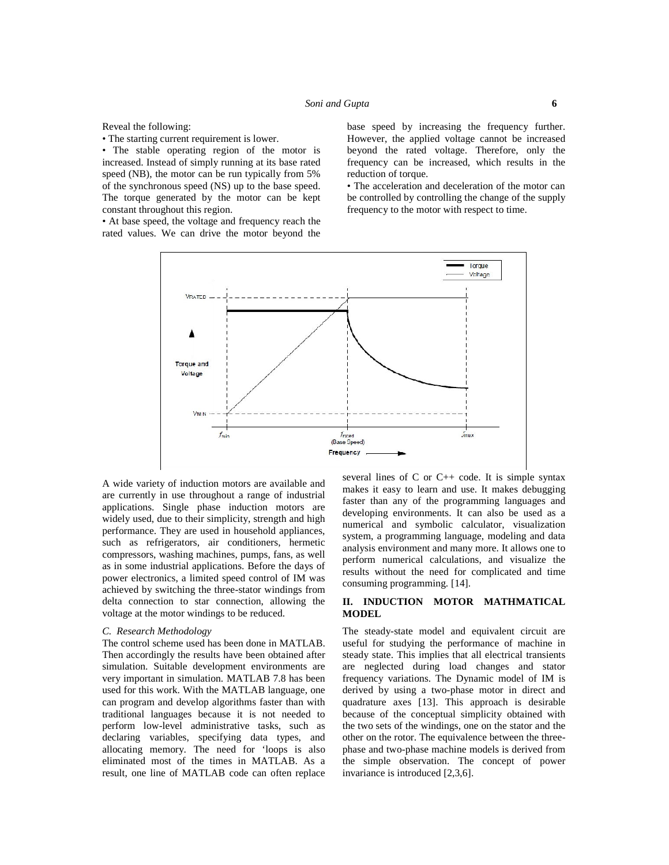Reveal the following:

• The starting current requirement is lower.

• The stable operating region of the motor is increased. Instead of simply running at its base rated speed (NB), the motor can be run typically from 5% of the synchronous speed (NS) up to the base speed. The torque generated by the motor can be kept constant throughout this region.

• At base speed, the voltage and frequency reach the rated values. We can drive the motor beyond the base speed by increasing the frequency further. However, the applied voltage cannot be increased beyond the rated voltage. Therefore, only the frequency can be increased, which results in the reduction of torque.

• The acceleration and deceleration of the motor can be controlled by controlling the change of the supply frequency to the motor with respect to time.



A wide variety of induction motors are available and are currently in use throughout a range of industrial applications. Single phase induction motors are widely used, due to their simplicity, strength and high performance. They are used in household appliances, such as refrigerators, air conditioners, hermetic compressors, washing machines, pumps, fans, as well as in some industrial applications. Before the days of power electronics, a limited speed control of IM was achieved by switching the three-stator windings from delta connection to star connection, allowing the voltage at the motor windings to be reduced.

## *C. Research Methodology*

The control scheme used has been done in MATLAB. Then accordingly the results have been obtained after simulation. Suitable development environments are very important in simulation. MATLAB 7.8 has been used for this work. With the MATLAB language, one can program and develop algorithms faster than with traditional languages because it is not needed to perform low-level administrative tasks, such as declaring variables, specifying data types, and allocating memory. The need for 'loops is also eliminated most of the times in MATLAB. As a result, one line of MATLAB code can often replace

several lines of  $C$  or  $C_{++}$  code. It is simple syntax makes it easy to learn and use. It makes debugging faster than any of the programming languages and developing environments. It can also be used as a numerical and symbolic calculator, visualization system, a programming language, modeling and data analysis environment and many more. It allows one to perform numerical calculations, and visualize the results without the need for complicated and time consuming programming. [14].

## **II. INDUCTION MOTOR MATHMATICAL MODEL**

The steady-state model and equivalent circuit are useful for studying the performance of machine in steady state. This implies that all electrical transients are neglected during load changes and stator frequency variations. The Dynamic model of IM is derived by using a two-phase motor in direct and quadrature axes [13]. This approach is desirable because of the conceptual simplicity obtained with the two sets of the windings, one on the stator and the other on the rotor. The equivalence between the three phase and two-phase machine models is derived from the simple observation. The concept of power invariance is introduced [2,3,6].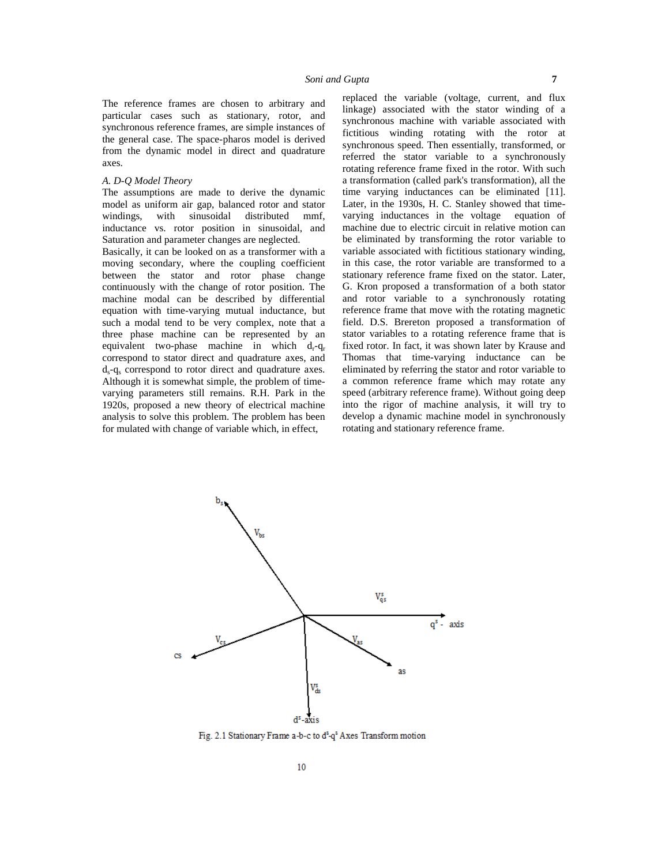The reference frames are chosen to arbitrary and particular cases such as stationary, rotor, and synchronous reference frames, are simple instances of the general case. The space-pharos model is derived from the dynamic model in direct and quadrature axes.

## *A. D-Q Model Theory*

The assumptions are made to derive the dynamic model as uniform air gap, balanced rotor and stator windings, with sinusoidal distributed mmf, inductance vs. rotor position in sinusoidal, and Saturation and parameter changes are neglected.

Basically, it can be looked on as a transformer with a moving secondary, where the coupling coefficient between the stator and rotor phase change continuously with the change of rotor position. The machine modal can be described by differential equation with time-varying mutual inductance, but such a modal tend to be very complex, note that a three phase machine can be represented by an equivalent two-phase machine in which  $d_r - q_r$ correspond to stator direct and quadrature axes, and  $d_{s}$ -q<sub>s</sub> correspond to rotor direct and quadrature axes. Although it is somewhat simple, the problem of time varying parameters still remains. R.H. Park in the 1920s, proposed a new theory of electrical machine analysis to solve this problem. The problem has been for mulated with change of variable which, in effect,

replaced the variable (voltage, current, and flux linkage) associated with the stator winding of a synchronous machine with variable associated with fictitious winding rotating with the rotor at synchronous speed. Then essentially, transformed, or referred the stator variable to a synchronously rotating reference frame fixed in the rotor. With such a transformation (called park's transformation), all the time varying inductances can be eliminated [11]. Later, in the 1930s, H. C. Stanley showed that time varying inductances in the voltage equation of machine due to electric circuit in relative motion can be eliminated by transforming the rotor variable to variable associated with fictitious stationary winding, in this case, the rotor variable are transformed to a stationary reference frame fixed on the stator. Later, G. Kron proposed a transformation of a both stator and rotor variable to a synchronously rotating reference frame that move with the rotating magnetic field. D.S. Brereton proposed a transformation of stator variables to a rotating reference frame that is fixed rotor. In fact, it was shown later by Krause and Thomas that time-varying inductance can be eliminated by referring the stator and rotor variable to a common reference frame which may rotate any speed (arbitrary reference frame). Without going deep into the rigor of machine analysis, it will try to develop a dynamic machine model in synchronously rotating and stationary reference frame.



Fig. 2.1 Stationary Frame a-b-c to d<sup>8</sup>-q<sup>8</sup> Axes Transform motion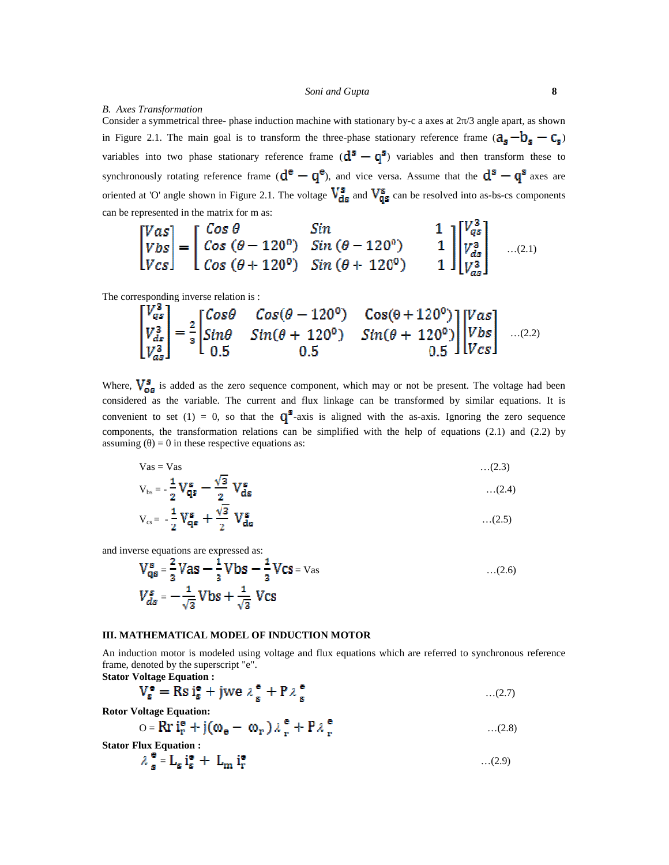# *B. Axes Transformation*

Consider a symmetrical three- phase induction machine with stationary by-c a axes at 2 /3 angle apart, as shown in Figure 2.1. The main goal is to transform the three-phase stationary reference frame  $(a_s - b_s - c_s)$ variables into two phase stationary reference frame  $(d^s - q^s)$  variables and then transform these to synchronously rotating reference frame  $(d^e - q^e)$ , and vice versa. Assume that the  $d^s - q^s$  axes are oriented at 'O' angle shown in Figure 2.1. The voltage  $V_{ds}^s$  and  $V_{qs}^s$  can be resolved into as-bs-cs components can be represented in the matrix for m as:

$$
\begin{bmatrix}\nVas \\
Vbs \\
Vcs\n\end{bmatrix} = \begin{bmatrix}\n\cos\theta & \sin\theta & 1 \\
\cos(\theta - 120^\circ) & \sin(\theta - 120^\circ) & 1 \\
\cos(\theta + 120^\circ) & \sin(\theta + 120^\circ) & 1\n\end{bmatrix} \begin{bmatrix}\nV_{qs}^3 \\
V_{qs}^3 \\
V_{qs}^3 \\
V_{qs}^3\n\end{bmatrix}
$$
...(2.1)

The corresponding inverse relation is :

$$
\begin{bmatrix} V_{qs}^s \\ V_{ds}^s \\ V_{qs}^s \end{bmatrix} = \frac{2}{3} \begin{bmatrix} \cos\theta & \cos(\theta - 120^\circ) & \cos(\theta + 120^\circ) \\ \sin\theta & \sin(\theta + 120^\circ) & \sin(\theta + 120^\circ) \\ 0.5 & 0.5 \end{bmatrix} \begin{bmatrix} V_{as} \\ V_{bs} \\ V_{cs} \end{bmatrix}
$$
...(2.2)

Where,  $V_{\alpha s}^s$  is added as the zero sequence component, which may or not be present. The voltage had been considered as the variable. The current and flux linkage can be transformed by similar equations. It is convenient to set (1) = 0, so that the  $\mathbb{Q}^3$ -axis is aligned with the as-axis. Ignoring the zero sequence components, the transformation relations can be simplified with the help of equations (2.1) and (2.2) by assuming  $\epsilon$  = 0 in these respective equations as:

$$
V_{\text{as}} = V_{\text{as}} \qquad \qquad \dots (2.3)
$$
  
\n
$$
V_{\text{bs}} = -\frac{1}{2} V_{\text{as}}^{\text{s}} - \frac{\sqrt{3}}{2} V_{\text{ds}}^{\text{s}} \qquad \qquad \dots (2.4)
$$

$$
V_{cs} = -\frac{1}{2} V_{qs}^s + \frac{\sqrt{3}}{2} V_{ds}^s \qquad \qquad \dots (2.5)
$$

and inverse equations are expressed as:

$$
V_{qs}^{s} = \frac{2}{3} Vas - \frac{1}{3} Vbs - \frac{1}{3} Vcs = Vas
$$
...(2.6)  

$$
V_{ds}^{s} = -\frac{1}{\sqrt{3}} Vbs + \frac{1}{\sqrt{3}} Vcs
$$

#### **III. MATHEMATICAL MODEL OF INDUCTION MOTOR**

An induction motor is modeled using voltage and flux equations which are referred to synchronous reference frame, denoted by the superscript "e".

**Stator Voltage Equation :**

$$
V_s^{\mathbf{e}} = \text{Rs } i_s^{\mathbf{e}} + \text{jwe } \lambda_s^{\mathbf{e}} + \text{P} \lambda_s^{\mathbf{e}} \tag{2.7}
$$

**Rotor Voltage Equation:**

$$
O = \mathbf{R} \mathbf{r} \mathbf{i}^{\mathbf{e}}_{\mathbf{r}} + \mathbf{j}(\omega_{\mathbf{e}} - \omega_{\mathbf{r}}) \lambda_{\mathbf{r}}^{\mathbf{e}} + \mathbf{P} \lambda_{\mathbf{r}}^{\mathbf{e}} \tag{2.8}
$$

**Stator Flux Equation :**

$$
\lambda_{\mathbf{s}}^{\mathbf{e}} = \mathbf{L}_{\mathbf{s}} \mathbf{i}_{\mathbf{s}}^{\mathbf{e}} + \mathbf{L}_{\mathbf{m}} \mathbf{i}_{\mathbf{r}}^{\mathbf{e}} \tag{2.9}
$$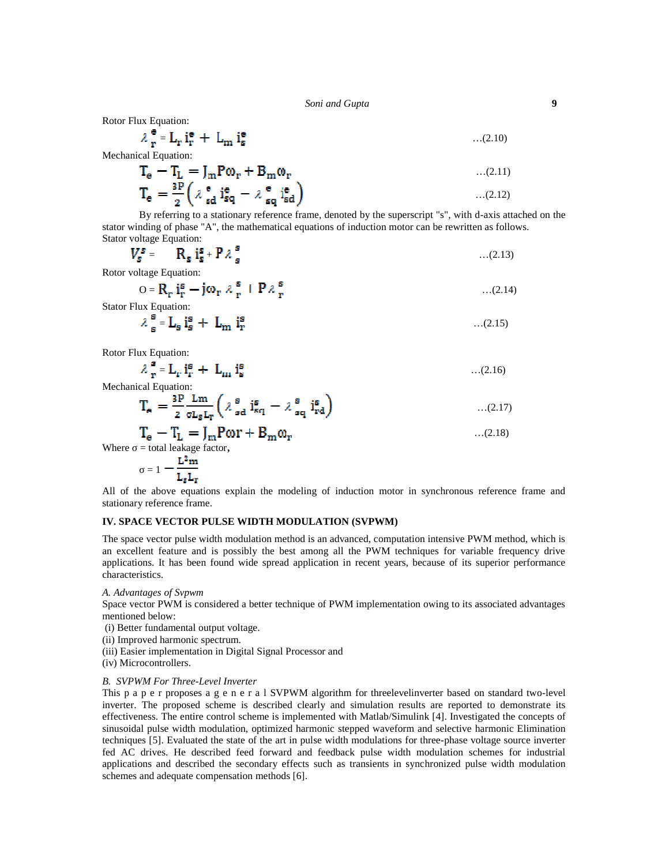*Soni and Gupta* **9**

Rotor Flux Equation:

$$
\lambda \frac{\mathbf{e}}{\mathbf{r}} = \mathbf{L}_{\mathbf{r}} \mathbf{i}^{\mathbf{e}}_{\mathbf{r}} + \mathbf{L}_{\mathbf{m}} \mathbf{i}^{\mathbf{e}}_{\mathbf{s}}
$$
...(2.10)

Mechanical Equation:

$$
T_e = T_L = J_m P \omega_r + B_m \omega_r
$$
...(2.11)  

$$
T_e = \frac{^{3P}}{^{2}} \left( \lambda \frac{^{e}}{^{sd}} \frac{^{ie}}{^{sq}} - \lambda \frac{^{e}}{^{sq}} \frac{^{ie}}{^{sd}} \right)
$$
...(2.12)

By referring to a stationary reference frame, denoted by the superscript "s", with d-axis attached on the stator winding of phase "A", the mathematical equations of induction motor can be rewritten as follows. Stator voltage Equation:

$$
V_s^s = \tR_s i_s^s + P \lambda_s^s \t\t\t\t\t \ldots (2.13)
$$

Rotor voltage Equation:

$$
O = R_r i_r^s - j\omega_r \lambda_r^s + P \lambda_r^s
$$
...(2.14)

Stator Flux Equation:

$$
\lambda_{\mathbf{s}}^{\mathbf{s}} = \mathbf{L}_{\mathbf{s}} \mathbf{i}_{\mathbf{s}}^{\mathbf{s}} + \mathbf{L}_{\mathbf{m}} \mathbf{i}_{\mathbf{r}}^{\mathbf{s}} \tag{2.15}
$$

Rotor Flux Equation:

$$
\lambda \frac{\mathbf{s}}{\mathbf{r}} = \mathbf{L}_{\mathbf{r}} \mathbf{i}^{\mathbf{s}}_{\mathbf{r}} + \mathbf{L}_{\mathbf{m}} \mathbf{i}^{\mathbf{s}}_{\mathbf{s}} \tag{2.16}
$$

Mechanical Equation:

$$
\mathbf{T}_{\mathbf{e}} = \frac{3\mathbf{P}}{2} \frac{\mathbf{L}\mathbf{m}}{\sigma \mathbf{L}_{\mathbf{S}} \mathbf{L}_{\mathbf{r}}} \left( \lambda \frac{\mathbf{s}}{\mathbf{s} \mathbf{d}} \mathbf{i}^{\mathbf{s}}_{\mathbf{s} \mathbf{q}} - \lambda \frac{\mathbf{s}}{\mathbf{s} \mathbf{q}} \mathbf{i}^{\mathbf{s}}_{\mathbf{r} \mathbf{d}} \right) \tag{2.17}
$$

$$
T_e - T_L = J_m P \omega r + B_m \omega_r
$$
  
= total leakage factor, ...(2.18)

 $Where$ 

$$
=1-\frac{{\bf L}^2{\bf m}}{{\bf L}_s{\bf L}_r}
$$

All of the above equations explain the modeling of induction motor in synchronous reference frame and stationary reference frame.

# **IV. SPACE VECTOR PULSE WIDTH MODULATION (SVPWM)**

The space vector pulse width modulation method is an advanced, computation intensive PWM method, which is an excellent feature and is possibly the best among all the PWM techniques for variable frequency drive applications. It has been found wide spread application in recent years, because of its superior performance characteristics.

*A. Advantages of Svpwm*

Space vector PWM is considered a better technique of PWM implementation owing to its associated advantages mentioned below:

- (i) Better fundamental output voltage.
- (ii) Improved harmonic spectrum.
- (iii) Easier implementation in Digital Signal Processor and
- (iv) Microcontrollers.

#### *B. SVPWM For Three-Level Inverter*

This p a p e r proposes a g e n e r a l SVPWM algorithm for threelevelinverter based on standard two-level inverter. The proposed scheme is described clearly and simulation results are reported to demonstrate its effectiveness. The entire control scheme is implemented with Matlab/Simulink [4]. Investigated the concepts of sinusoidal pulse width modulation, optimized harmonic stepped waveform and selective harmonic Elimination techniques [5]. Evaluated the state of the art in pulse width modulations for three-phase voltage source inverter fed AC drives. He described feed forward and feedback pulse width modulation schemes for industrial applications and described the secondary effects such as transients in synchronized pulse width modulation schemes and adequate compensation methods [6].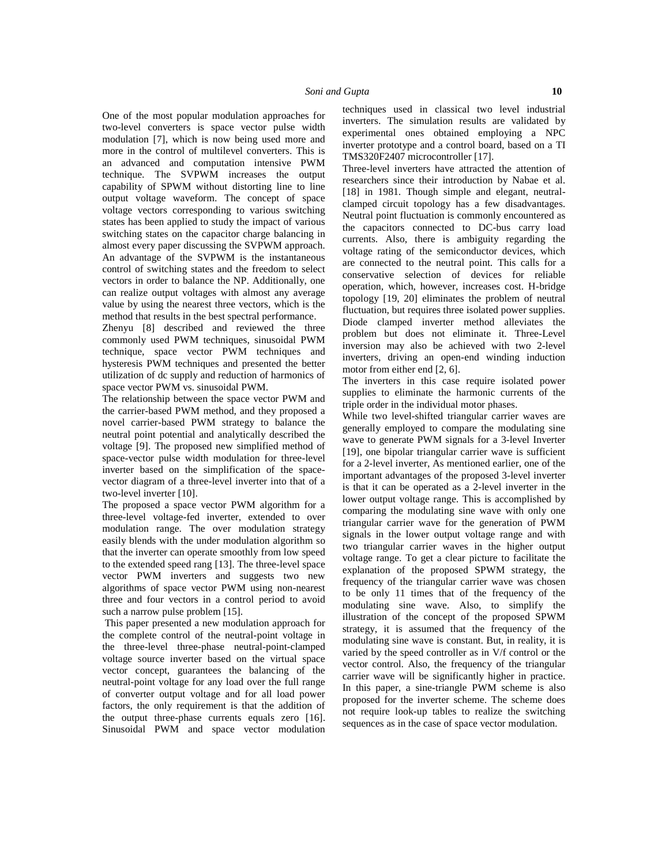One of the most popular modulation approaches for two-level converters is space vector pulse width modulation [7], which is now being used more and more in the control of multilevel converters. This is an advanced and computation intensive PWM technique. The SVPWM increases the output capability of SPWM without distorting line to line output voltage waveform. The concept of space voltage vectors corresponding to various switching states has been applied to study the impact of various switching states on the capacitor charge balancing in almost every paper discussing the SVPWM approach. An advantage of the SVPWM is the instantaneous control of switching states and the freedom to select vectors in order to balance the NP. Additionally, one can realize output voltages with almost any average value by using the nearest three vectors, which is the method that results in the best spectral performance.

Zhenyu [8] described and reviewed the three commonly used PWM techniques, sinusoidal PWM technique, space vector PWM techniques and hysteresis PWM techniques and presented the better utilization of dc supply and reduction of harmonics of space vector PWM vs. sinusoidal PWM.

The relationship between the space vector PWM and the carrier-based PWM method, and they proposed a novel carrier-based PWM strategy to balance the neutral point potential and analytically described the voltage [9]. The proposed new simplified method of space-vector pulse width modulation for three-level inverter based on the simplification of the space vector diagram of a three-level inverter into that of a two-level inverter [10].

The proposed a space vector PWM algorithm for a three-level voltage-fed inverter, extended to over modulation range. The over modulation strategy easily blends with the under modulation algorithm so that the inverter can operate smoothly from low speed to the extended speed rang [13]. The three-level space vector PWM inverters and suggests two new algorithms of space vector PWM using non-nearest three and four vectors in a control period to avoid such a narrow pulse problem [15].

This paper presented a new modulation approach for the complete control of the neutral-point voltage in the three-level three-phase neutral-point-clamped voltage source inverter based on the virtual space vector concept, guarantees the balancing of the neutral-point voltage for any load over the full range of converter output voltage and for all load power factors, the only requirement is that the addition of the output three-phase currents equals zero [16]. Sinusoidal PWM and space vector modulation

techniques used in classical two level industrial inverters. The simulation results are validated by experimental ones obtained employing a NPC inverter prototype and a control board, based on a TI TMS320F2407 microcontroller [17].

Three-level inverters have attracted the attention of researchers since their introduction by Nabae et al. [18] in 1981. Though simple and elegant, neutral clamped circuit topology has a few disadvantages. Neutral point fluctuation is commonly encountered as the capacitors connected to DC-bus carry load currents. Also, there is ambiguity regarding the voltage rating of the semiconductor devices, which are connected to the neutral point. This calls for a conservative selection of devices for reliable operation, which, however, increases cost. H-bridge topology [19, 20] eliminates the problem of neutral fluctuation, but requires three isolated power supplies. Diode clamped inverter method alleviates the problem but does not eliminate it. Three-Level inversion may also be achieved with two 2-level inverters, driving an open-end winding induction motor from either end [2, 6].

The inverters in this case require isolated power supplies to eliminate the harmonic currents of the triple order in the individual motor phases.

While two level-shifted triangular carrier waves are generally employed to compare the modulating sine wave to generate PWM signals for a 3-level Inverter [19], one bipolar triangular carrier wave is sufficient for a 2-level inverter, As mentioned earlier, one of the important advantages of the proposed 3-level inverter is that it can be operated as a 2-level inverter in the lower output voltage range. This is accomplished by comparing the modulating sine wave with only one triangular carrier wave for the generation of PWM signals in the lower output voltage range and with two triangular carrier waves in the higher output voltage range. To get a clear picture to facilitate the explanation of the proposed SPWM strategy, the frequency of the triangular carrier wave was chosen to be only 11 times that of the frequency of the modulating sine wave. Also, to simplify the illustration of the concept of the proposed SPWM strategy, it is assumed that the frequency of the modulating sine wave is constant. But, in reality, it is varied by the speed controller as in V/f control or the vector control. Also, the frequency of the triangular carrier wave will be significantly higher in practice. In this paper, a sine-triangle PWM scheme is also proposed for the inverter scheme. The scheme does not require look-up tables to realize the switching sequences as in the case of space vector modulation.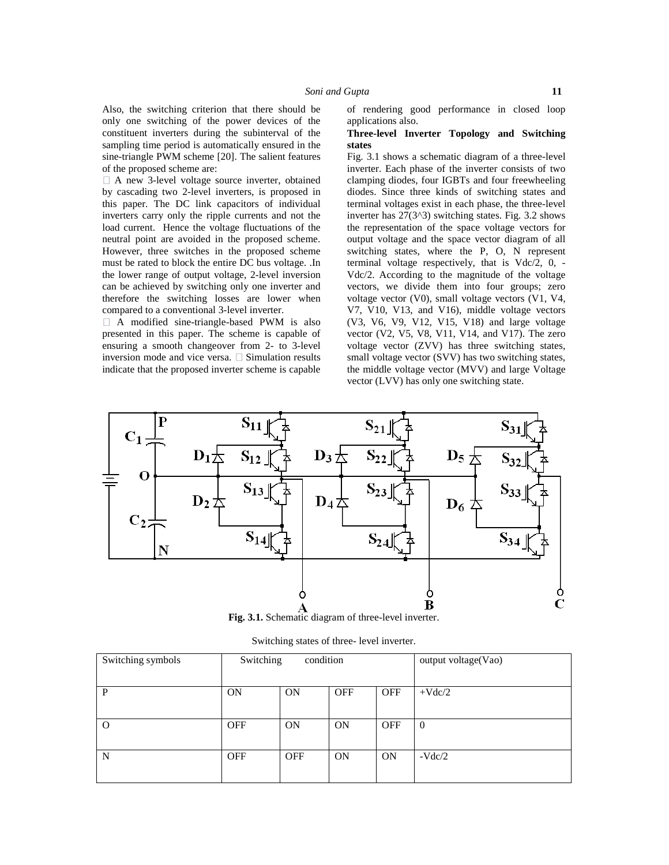A new 3-level voltage source inverter, obtained by cascading two 2-level inverters, is proposed in this paper. The DC link capacitors of individual inverters carry only the ripple currents and not the load current. Hence the voltage fluctuations of the neutral point are avoided in the proposed scheme. However, three switches in the proposed scheme must be rated to block the entire DC bus voltage. .In the lower range of output voltage, 2-level inversion can be achieved by switching only one inverter and therefore the switching losses are lower when compared to a conventional 3-level inverter.

A modified sine-triangle-based PWM is also presented in this paper. The scheme is capable of ensuring a smooth changeover from 2- to 3-level inversion mode and vice versa.  $\square$  Simulation results indicate that the proposed inverter scheme is capable of rendering good performance in closed loop applications also.

## **Three-level Inverter Topology and Switching states**

Fig. 3.1 shows a schematic diagram of a three-level inverter. Each phase of the inverter consists of two clamping diodes, four IGBTs and four freewheeling diodes. Since three kinds of switching states and terminal voltages exist in each phase, the three-level inverter has  $27(3^3)$  switching states. Fig. 3.2 shows the representation of the space voltage vectors for output voltage and the space vector diagram of all switching states, where the P, O, N represent terminal voltage respectively, that is Vdc/2, 0, - Vdc/2. According to the magnitude of the voltage vectors, we divide them into four groups; zero voltage vector (V0), small voltage vectors (V1, V4, V7, V10, V13, and V16), middle voltage vectors (V3, V6, V9, V12, V15, V18) and large voltage vector (V2, V5, V8, V11, V14, and V17). The zero voltage vector (ZVV) has three switching states, small voltage vector (SVV) has two switching states, the middle voltage vector (MVV) and large Voltage vector (LVV) has only one switching state.



Switching states of three- level inverter.

| Switching symbols | Switching<br>condition |            |            |            | output voltage(Vao) |
|-------------------|------------------------|------------|------------|------------|---------------------|
| P                 | <b>ON</b>              | ON         | <b>OFF</b> | <b>OFF</b> | $+Vdc/2$            |
| $\Omega$          | <b>OFF</b>             | ON         | ON         | <b>OFF</b> | $\theta$            |
| N                 | <b>OFF</b>             | <b>OFF</b> | ON         | ON         | $-Vdc/2$            |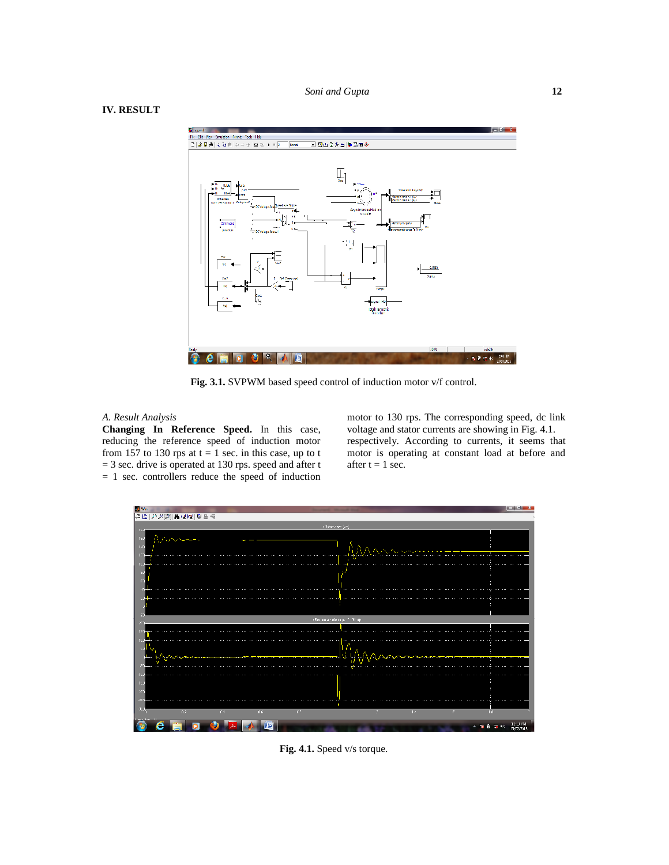# **IV. RESULT**



**Fig. 3.1.** SVPWM based speed control of induction motor v/f control.

#### *A. Result Analysis*

**Changing In Reference Speed.** In this case, reducing the reference speed of induction motor from 157 to 130 rps at  $t = 1$  sec. in this case, up to t  $=$  3 sec. drive is operated at 130 rps. speed and after t  $= 1$  sec. controllers reduce the speed of induction

motor to 130 rps. The corresponding speed, dc link voltage and stator currents are showing in Fig. 4.1. respectively. According to currents, it seems that motor is operating at constant load at before and after  $t = 1$  sec.



**Fig. 4.1.** Speed v/s torque.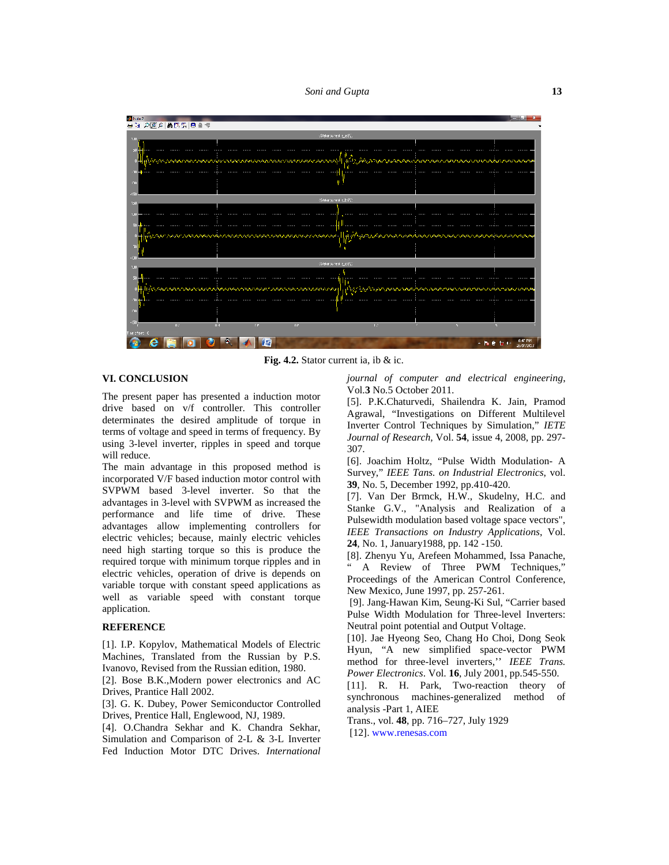*Soni and Gupta* **13**



**Fig. 4.2.** Stator current ia, ib & ic.

## **VI. CONCLUSION**

The present paper has presented a induction motor drive based on v/f controller. This controller determinates the desired amplitude of torque in terms of voltage and speed in terms of frequency. By using 3-level inverter, ripples in speed and torque will reduce.

The main advantage in this proposed method is incorporated V/F based induction motor control with SVPWM based 3-level inverter. So that the advantages in 3-level with SVPWM as increased the performance and life time of drive. These advantages allow implementing controllers for electric vehicles; because, mainly electric vehicles need high starting torque so this is produce the required torque with minimum torque ripples and in electric vehicles, operation of drive is depends on variable torque with constant speed applications as well as variable speed with constant torque application.

# **REFERENCE**

[1]. I.P. Kopylov, Mathematical Models of Electric Machines, Translated from the Russian by P.S. Ivanovo, Revised from the Russian edition, 1980.

[2]. Bose B.K.,Modern power electronics and AC Drives, Prantice Hall 2002.

[3]. G. K. Dubey, Power Semiconductor Controlled Drives, Prentice Hall, Englewood, NJ, 1989.

[4]. O.Chandra Sekhar and K. Chandra Sekhar, Simulation and Comparison of 2-L & 3-L Inverter Fed Induction Motor DTC Drives. *International*

*journal of computer and electrical engineering*, Vol.**3** No.5 October 2011.

[5]. P.K.Chaturvedi, Shailendra K. Jain, Pramod Agrawal, "Investigations on Different Multilevel Inverter Control Techniques by Simulation," *IETE Journal of Research,* Vol. **54**, issue 4, 2008, pp. 297- 307.

[6]. Joachim Holtz, "Pulse Width Modulation- A Survey," *IEEE Tans. on Industrial Electronics*, vol. **39**, No. 5, December 1992, pp.410-420.

[7]. Van Der Brmck, H.W., Skudelny, H.C. and Stanke G.V., "Analysis and Realization of a Pulsewidth modulation based voltage space vectors", *IEEE Transactions on Industry Applications*, Vol. **24**, No. 1, January1988, pp. 142 -150.

[8]. Zhenyu Yu, Arefeen Mohammed, Issa Panache, " A Review of Three PWM Techniques," Proceedings of the American Control Conference, New Mexico, June 1997, pp. 257-261.

[9]. Jang-Hawan Kim, Seung-Ki Sul, "Carrier based Pulse Width Modulation for Three-level Inverters: Neutral point potential and Output Voltage.

[10]. Jae Hyeong Seo, Chang Ho Choi, Dong Seok Hyun, "A new simplified space-vector PWM method for three-level inverters,'' *IEEE Trans. Power Electronics*. Vol. **16**, July 2001, pp.545-550.

[11]. R. H. Park, Two-reaction theory of synchronous machines-generalized method of analysis -Part 1, AIEE

Trans., vol. **48**, pp. 716–727, July 1929 [12]. <www.renesas.com>